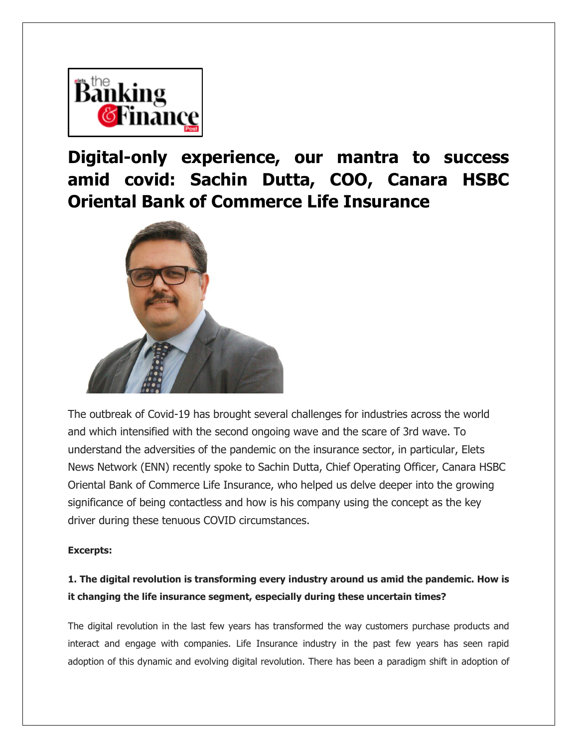

**Digital-only experience, our mantra to success amid covid: Sachin Dutta, COO, Canara HSBC Oriental Bank of Commerce Life Insurance**



The outbreak of Covid-19 has brought several challenges for industries across the world and which intensified with the second ongoing wave and the scare of 3rd wave. To understand the adversities of the pandemic on the insurance sector, in particular, Elets News Network (ENN) recently spoke to Sachin Dutta, Chief Operating Officer, Canara HSBC Oriental Bank of Commerce Life Insurance, who helped us delve deeper into the growing significance of being contactless and how is his company using the concept as the key driver during these tenuous COVID circumstances.

#### **Excerpts:**

## **1. The digital revolution is transforming every industry around us amid the pandemic. How is it changing the life insurance segment, especially during these uncertain times?**

The digital revolution in the last few years has transformed the way customers purchase products and interact and engage with companies. Life Insurance industry in the past few years has seen rapid adoption of this dynamic and evolving digital revolution. There has been a paradigm shift in adoption of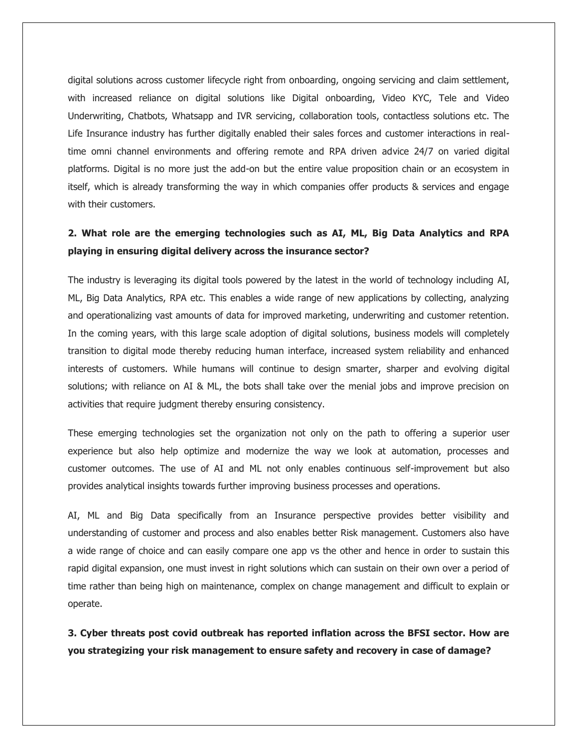digital solutions across customer lifecycle right from onboarding, ongoing servicing and claim settlement, with increased reliance on digital solutions like Digital onboarding, Video KYC, Tele and Video Underwriting, Chatbots, Whatsapp and IVR servicing, collaboration tools, contactless solutions etc. The Life Insurance industry has further digitally enabled their sales forces and customer interactions in realtime omni channel environments and offering remote and RPA driven advice 24/7 on varied digital platforms. Digital is no more just the add-on but the entire value proposition chain or an ecosystem in itself, which is already transforming the way in which companies offer products & services and engage with their customers.

## **2. What role are the emerging technologies such as AI, ML, Big Data Analytics and RPA playing in ensuring digital delivery across the insurance sector?**

The industry is leveraging its digital tools powered by the latest in the world of technology including AI, ML, Big Data Analytics, RPA etc. This enables a wide range of new applications by collecting, analyzing and operationalizing vast amounts of data for improved marketing, underwriting and customer retention. In the coming years, with this large scale adoption of digital solutions, business models will completely transition to digital mode thereby reducing human interface, increased system reliability and enhanced interests of customers. While humans will continue to design smarter, sharper and evolving digital solutions; with reliance on AI & ML, the bots shall take over the menial jobs and improve precision on activities that require judgment thereby ensuring consistency.

These emerging technologies set the organization not only on the path to offering a superior user experience but also help optimize and modernize the way we look at automation, processes and customer outcomes. The use of AI and ML not only enables continuous self-improvement but also provides analytical insights towards further improving business processes and operations.

AI, ML and Big Data specifically from an Insurance perspective provides better visibility and understanding of customer and process and also enables better Risk management. Customers also have a wide range of choice and can easily compare one app vs the other and hence in order to sustain this rapid digital expansion, one must invest in right solutions which can sustain on their own over a period of time rather than being high on maintenance, complex on change management and difficult to explain or operate.

**3. Cyber threats post covid outbreak has reported inflation across the BFSI sector. How are you strategizing your risk management to ensure safety and recovery in case of damage?**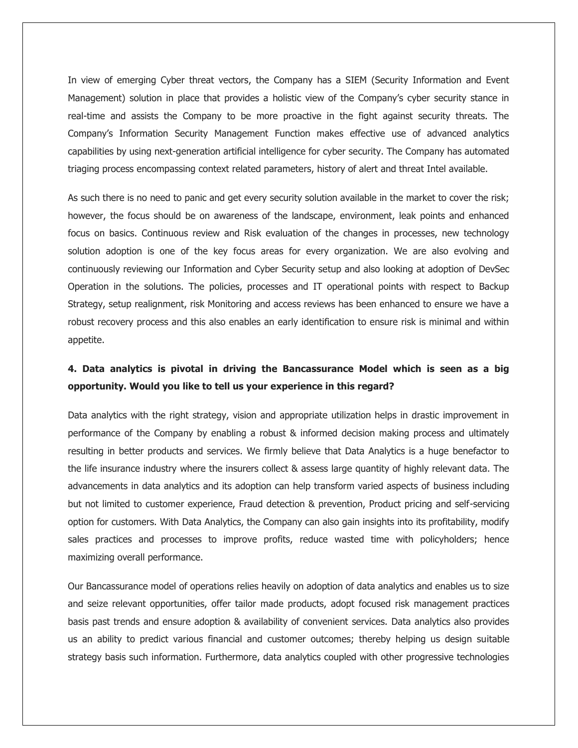In view of emerging Cyber threat vectors, the Company has a SIEM (Security Information and Event Management) solution in place that provides a holistic view of the Company's cyber security stance in real-time and assists the Company to be more proactive in the fight against security threats. The Company's Information Security Management Function makes effective use of advanced analytics capabilities by using next-generation artificial intelligence for cyber security. The Company has automated triaging process encompassing context related parameters, history of alert and threat Intel available.

As such there is no need to panic and get every security solution available in the market to cover the risk; however, the focus should be on awareness of the landscape, environment, leak points and enhanced focus on basics. Continuous review and Risk evaluation of the changes in processes, new technology solution adoption is one of the key focus areas for every organization. We are also evolving and continuously reviewing our Information and Cyber Security setup and also looking at adoption of DevSec Operation in the solutions. The policies, processes and IT operational points with respect to Backup Strategy, setup realignment, risk Monitoring and access reviews has been enhanced to ensure we have a robust recovery process and this also enables an early identification to ensure risk is minimal and within appetite.

### **4. Data analytics is pivotal in driving the Bancassurance Model which is seen as a big opportunity. Would you like to tell us your experience in this regard?**

Data analytics with the right strategy, vision and appropriate utilization helps in drastic improvement in performance of the Company by enabling a robust & informed decision making process and ultimately resulting in better products and services. We firmly believe that Data Analytics is a huge benefactor to the life insurance industry where the insurers collect & assess large quantity of highly relevant data. The advancements in data analytics and its adoption can help transform varied aspects of business including but not limited to customer experience, Fraud detection & prevention, Product pricing and self-servicing option for customers. With Data Analytics, the Company can also gain insights into its profitability, modify sales practices and processes to improve profits, reduce wasted time with policyholders; hence maximizing overall performance.

Our Bancassurance model of operations relies heavily on adoption of data analytics and enables us to size and seize relevant opportunities, offer tailor made products, adopt focused risk management practices basis past trends and ensure adoption & availability of convenient services. Data analytics also provides us an ability to predict various financial and customer outcomes; thereby helping us design suitable strategy basis such information. Furthermore, data analytics coupled with other progressive technologies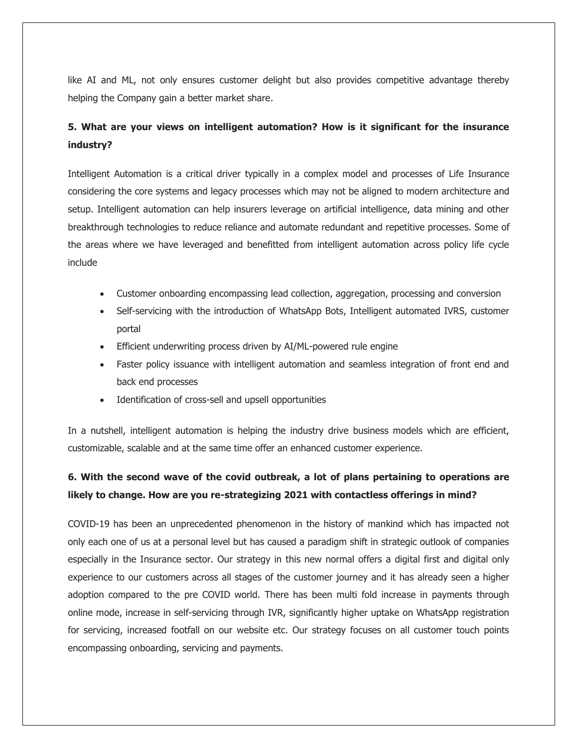like AI and ML, not only ensures customer delight but also provides competitive advantage thereby helping the Company gain a better market share.

## **5. What are your views on intelligent automation? How is it significant for the insurance industry?**

Intelligent Automation is a critical driver typically in a complex model and processes of Life Insurance considering the core systems and legacy processes which may not be aligned to modern architecture and setup. Intelligent automation can help insurers leverage on artificial intelligence, data mining and other breakthrough technologies to reduce reliance and automate redundant and repetitive processes. Some of the areas where we have leveraged and benefitted from intelligent automation across policy life cycle include

- Customer onboarding encompassing lead collection, aggregation, processing and conversion
- Self-servicing with the introduction of WhatsApp Bots, Intelligent automated IVRS, customer portal
- Efficient underwriting process driven by AI/ML-powered rule engine
- Faster policy issuance with intelligent automation and seamless integration of front end and back end processes
- Identification of cross-sell and upsell opportunities

In a nutshell, intelligent automation is helping the industry drive business models which are efficient, customizable, scalable and at the same time offer an enhanced customer experience.

# **6. With the second wave of the covid outbreak, a lot of plans pertaining to operations are likely to change. How are you re-strategizing 2021 with contactless offerings in mind?**

COVID-19 has been an unprecedented phenomenon in the history of mankind which has impacted not only each one of us at a personal level but has caused a paradigm shift in strategic outlook of companies especially in the Insurance sector. Our strategy in this new normal offers a digital first and digital only experience to our customers across all stages of the customer journey and it has already seen a higher adoption compared to the pre COVID world. There has been multi fold increase in payments through online mode, increase in self-servicing through IVR, significantly higher uptake on WhatsApp registration for servicing, increased footfall on our website etc. Our strategy focuses on all customer touch points encompassing onboarding, servicing and payments.